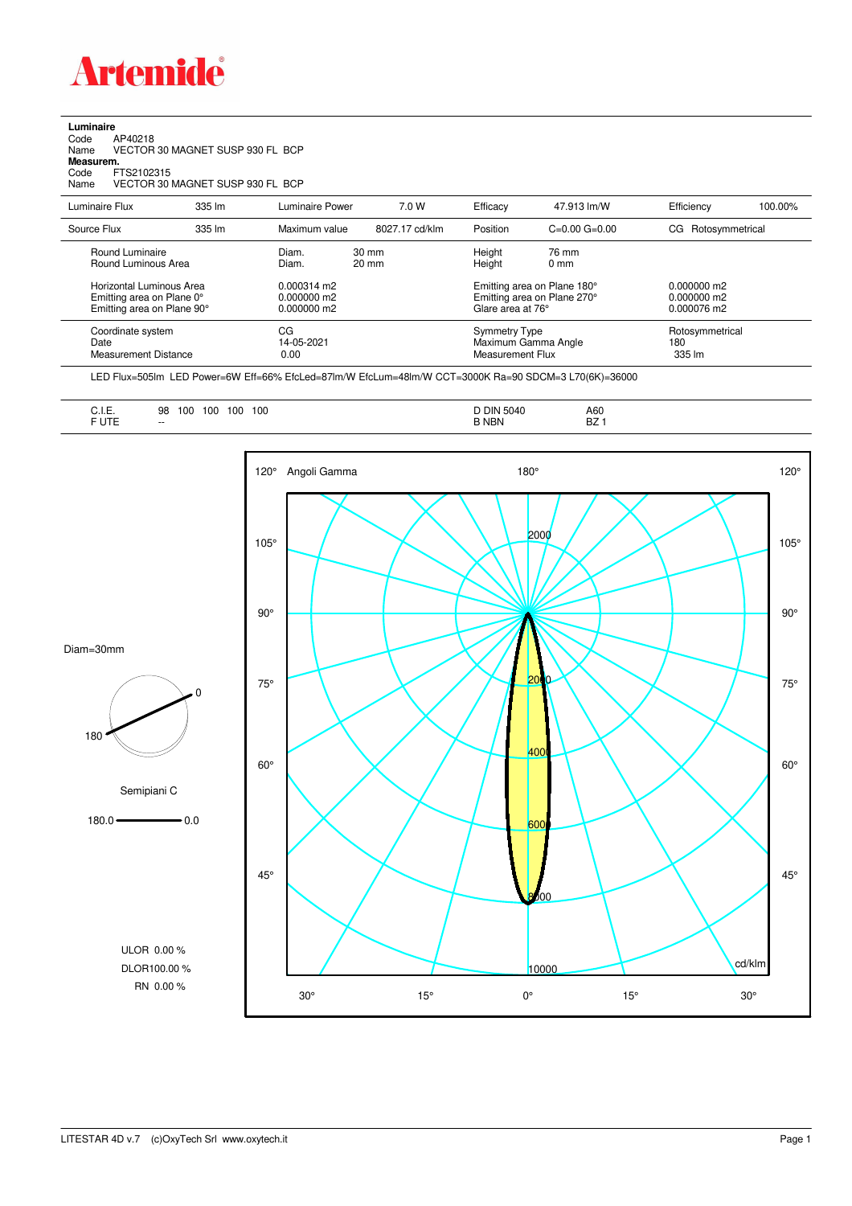

**Luminaire**<br>Code /<br>Name \ Code AP40218 Name VECTOR 30 MAGNET SUSP 930 FL BCP **Measurem.** Code FTS2102315 Name VECTOR 30 MAGNET SUSP 930 FL BCP

| Luminaire Flux                                                                      | 335 lm | Luminaire Power                                        | 7.0 W                              | Efficacy         | 47.913 lm/W                                                                     | Efficiency         | 100.00%         |
|-------------------------------------------------------------------------------------|--------|--------------------------------------------------------|------------------------------------|------------------|---------------------------------------------------------------------------------|--------------------|-----------------|
|                                                                                     |        |                                                        |                                    |                  |                                                                                 |                    |                 |
| Source Flux                                                                         | 335 lm | Maximum value                                          | 8027.17 cd/klm                     | Position         | $C=0.00$ $G=0.00$                                                               | CG Rotosymmetrical |                 |
| Round Luminaire<br>Round Luminous Area                                              |        | Diam.<br>Diam.                                         | $30 \text{ mm}$<br>$20 \text{ mm}$ | Height<br>Height | 76 mm<br>$0 \text{ mm}$                                                         |                    |                 |
| Horizontal Luminous Area<br>Emitting area on Plane 0°<br>Emitting area on Plane 90° |        | $0.000314 \text{ m}$<br>$0.000000$ m2<br>$0.000000$ m2 |                                    |                  | Emitting area on Plane 180°<br>Emitting area on Plane 270°<br>Glare area at 76° |                    |                 |
| Coordinate system<br>Date<br><b>Measurement Distance</b>                            |        | CG<br>14-05-2021<br>0.00                               |                                    |                  | <b>Symmetry Type</b><br>Maximum Gamma Angle<br>Measurement Flux                 |                    | Rotosymmetrical |

LED Flux=505lm LED Power=6W Eff=66% EfcLed=87lm/W EfcLum=48lm/W CCT=3000K Ra=90 SDCM=3 L70(6K)=36000

| 1.177<br><b>NBN</b><br>D <sub>7</sub><br>DZ.<br>$- -$<br>ີ | . .<br>◡…<br>$\sim$ $\sim$ $\sim$ $\sim$ $\sim$ $\sim$ $\sim$ | 100<br>10C<br>100<br>98<br>100<br>. .<br>- - | -DIN<br>. )4۱.<br>. | A60 |
|------------------------------------------------------------|---------------------------------------------------------------|----------------------------------------------|---------------------|-----|
|------------------------------------------------------------|---------------------------------------------------------------|----------------------------------------------|---------------------|-----|